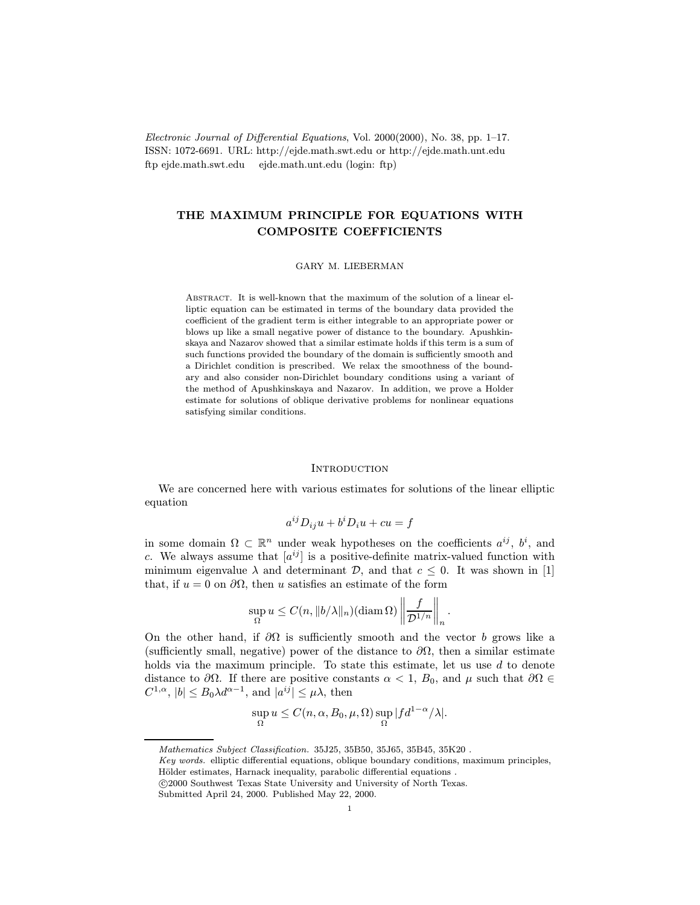Electronic Journal of Differential Equations, Vol. 2000(2000), No. 38, pp. 1–17. ISSN: 1072-6691. URL: http://ejde.math.swt.edu or http://ejde.math.unt.edu ftp ejde.math.swt.edu ejde.math.unt.edu (login: ftp)

# THE MAXIMUM PRINCIPLE FOR EQUATIONS WITH COMPOSITE COEFFICIENTS

### GARY M. LIEBERMAN

Abstract. It is well-known that the maximum of the solution of a linear elliptic equation can be estimated in terms of the boundary data provided the coefficient of the gradient term is either integrable to an appropriate power or blows up like a small negative power of distance to the boundary. Apushkinskaya and Nazarov showed that a similar estimate holds if this term is a sum of such functions provided the boundary of the domain is sufficiently smooth and a Dirichlet condition is prescribed. We relax the smoothness of the boundary and also consider non-Dirichlet boundary conditions using a variant of the method of Apushkinskaya and Nazarov. In addition, we prove a Holder estimate for solutions of oblique derivative problems for nonlinear equations satisfying similar conditions.

### **INTRODUCTION**

We are concerned here with various estimates for solutions of the linear elliptic equation

$$
a^{ij}D_{ij}u + b^i D_i u + cu = f
$$

in some domain  $\Omega \subset \mathbb{R}^n$  under weak hypotheses on the coefficients  $a^{ij}$ ,  $b^i$ , and c. We always assume that  $[a^{ij}]$  is a positive-definite matrix-valued function with minimum eigenvalue  $\lambda$  and determinant  $\mathcal{D}$ , and that  $c \leq 0$ . It was shown in [1] that, if  $u = 0$  on  $\partial\Omega$ , then u satisfies an estimate of the form

$$
\sup_{\Omega} u \leq C(n, \|b/\lambda\|_{n}) (\operatorname{diam}\Omega) \left\| \frac{f}{\mathcal{D}^{1/n}} \right\|_{n}.
$$

On the other hand, if  $\partial\Omega$  is sufficiently smooth and the vector b grows like a (sufficiently small, negative) power of the distance to  $\partial\Omega$ , then a similar estimate holds via the maximum principle. To state this estimate, let us use  $d$  to denote distance to  $\partial\Omega$ . If there are positive constants  $\alpha < 1$ ,  $B_0$ , and  $\mu$  such that  $\partial\Omega \in$  $C^{1,\alpha}$ ,  $|b| \leq B_0 \lambda d^{\alpha-1}$ , and  $|a^{ij}| \leq \mu \lambda$ , then

$$
\sup_{\Omega} u \le C(n, \alpha, B_0, \mu, \Omega) \sup_{\Omega} |f d^{1-\alpha}/\lambda|.
$$

Mathematics Subject Classification. 35J25, 35B50, 35J65, 35B45, 35K20 .

Key words. elliptic differential equations, oblique boundary conditions, maximum principles, Hölder estimates, Harnack inequality, parabolic differential equations.

c 2000 Southwest Texas State University and University of North Texas.

Submitted April 24, 2000. Published May 22, 2000.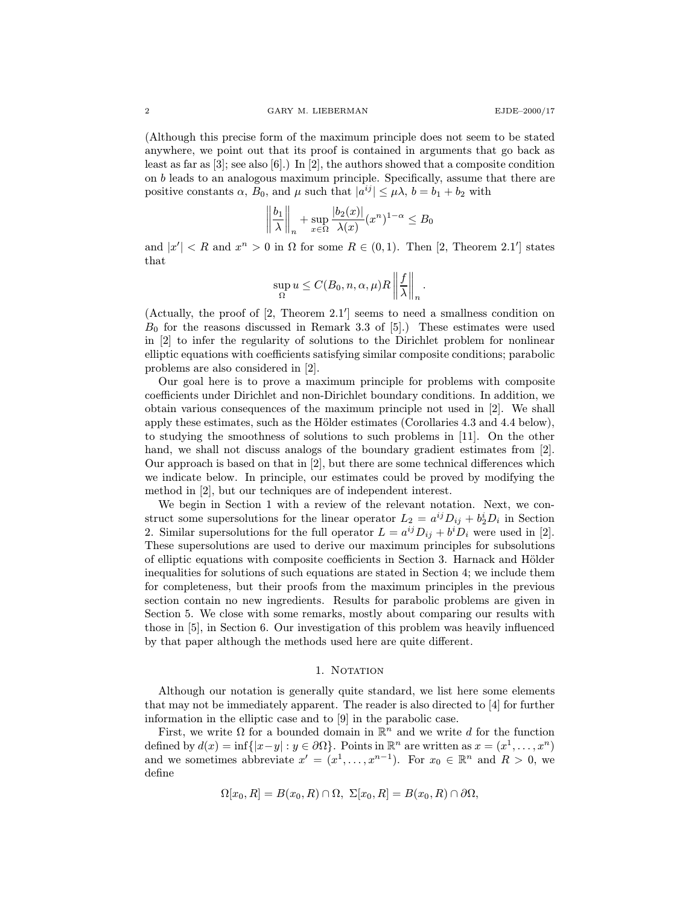(Although this precise form of the maximum principle does not seem to be stated anywhere, we point out that its proof is contained in arguments that go back as least as far as [3]; see also [6].) In [2], the authors showed that a composite condition on b leads to an analogous maximum principle. Specifically, assume that there are positive constants  $\alpha$ ,  $B_0$ , and  $\mu$  such that  $|a^{ij}| \leq \mu \lambda$ ,  $b = b_1 + b_2$  with

$$
\left\|\frac{b_1}{\lambda}\right\|_n + \sup_{x \in \Omega} \frac{|b_2(x)|}{\lambda(x)} (x^n)^{1-\alpha} \le B_0
$$

and  $|x'| < R$  and  $x^n > 0$  in  $\Omega$  for some  $R \in (0,1)$ . Then [2, Theorem 2.1'] states that

$$
\sup_{\Omega} u \leq C(B_0, n, \alpha, \mu) R \left\| \frac{f}{\lambda} \right\|_{n}.
$$

(Actually, the proof of  $[2,$  Theorem  $2.1'$ ] seems to need a smallness condition on  $B_0$  for the reasons discussed in Remark 3.3 of [5].) These estimates were used in [2] to infer the regularity of solutions to the Dirichlet problem for nonlinear elliptic equations with coefficients satisfying similar composite conditions; parabolic problems are also considered in [2].

Our goal here is to prove a maximum principle for problems with composite coefficients under Dirichlet and non-Dirichlet boundary conditions. In addition, we obtain various consequences of the maximum principle not used in [2]. We shall apply these estimates, such as the Hölder estimates (Corollaries 4.3 and 4.4 below), to studying the smoothness of solutions to such problems in [11]. On the other hand, we shall not discuss analogs of the boundary gradient estimates from [2]. Our approach is based on that in [2], but there are some technical differences which we indicate below. In principle, our estimates could be proved by modifying the method in [2], but our techniques are of independent interest.

We begin in Section 1 with a review of the relevant notation. Next, we construct some supersolutions for the linear operator  $L_2 = a^{ij}D_{ij} + b_2^iD_i$  in Section 2. Similar supersolutions for the full operator  $L = a^{ij} D_{ij} + b^i D_i$  were used in [2]. These supersolutions are used to derive our maximum principles for subsolutions of elliptic equations with composite coefficients in Section 3. Harnack and Hölder inequalities for solutions of such equations are stated in Section 4; we include them for completeness, but their proofs from the maximum principles in the previous section contain no new ingredients. Results for parabolic problems are given in Section 5. We close with some remarks, mostly about comparing our results with those in [5], in Section 6. Our investigation of this problem was heavily influenced by that paper although the methods used here are quite different.

### 1. NOTATION

Although our notation is generally quite standard, we list here some elements that may not be immediately apparent. The reader is also directed to [4] for further information in the elliptic case and to [9] in the parabolic case.

First, we write  $\Omega$  for a bounded domain in  $\mathbb{R}^n$  and we write d for the function defined by  $d(x) = \inf\{|x-y| : y \in \partial\Omega\}$ . Points in  $\mathbb{R}^n$  are written as  $x = (x^1, \dots, x^n)$ and we sometimes abbreviate  $x' = (x^1, \ldots, x^{n-1})$ . For  $x_0 \in \mathbb{R}^n$  and  $R > 0$ , we define

$$
\Omega[x_0,R] = B(x_0,R) \cap \Omega, \ \Sigma[x_0,R] = B(x_0,R) \cap \partial\Omega,
$$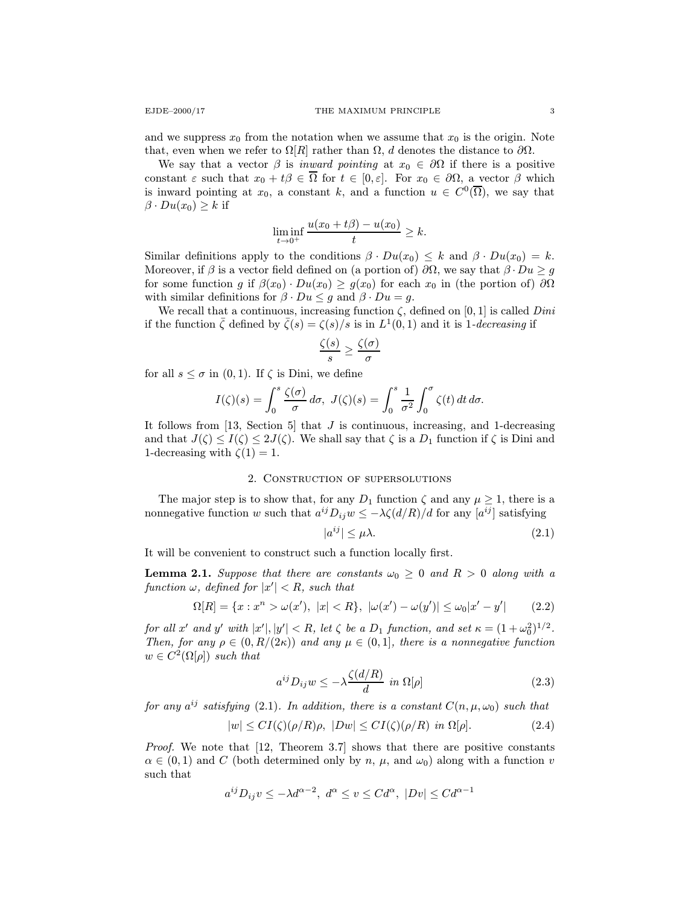and we suppress  $x_0$  from the notation when we assume that  $x_0$  is the origin. Note that, even when we refer to  $\Omega[R]$  rather than  $\Omega$ , d denotes the distance to  $\partial\Omega$ .

We say that a vector  $\beta$  is *inward pointing* at  $x_0 \in \partial\Omega$  if there is a positive constant  $\varepsilon$  such that  $x_0 + t\beta \in \overline{\Omega}$  for  $t \in [0, \varepsilon]$ . For  $x_0 \in \partial\Omega$ , a vector  $\beta$  which is inward pointing at  $x_0$ , a constant k, and a function  $u \in C^0(\overline{\Omega})$ , we say that  $\beta \cdot Du(x_0) \geq k$  if

$$
\liminf_{t \to 0^+} \frac{u(x_0 + t\beta) - u(x_0)}{t} \ge k.
$$

Similar definitions apply to the conditions  $\beta \cdot Du(x_0) \leq k$  and  $\beta \cdot Du(x_0) = k$ . Moreover, if  $\beta$  is a vector field defined on (a portion of)  $\partial\Omega$ , we say that  $\beta \cdot Du \geq g$ for some function g if  $\beta(x_0) \cdot Du(x_0) \ge g(x_0)$  for each  $x_0$  in (the portion of)  $\partial\Omega$ with similar definitions for  $\beta \cdot Du \leq g$  and  $\beta \cdot Du = g$ .

We recall that a continuous, increasing function  $\zeta$ , defined on [0, 1] is called *Dini* if the function  $\bar{\zeta}$  defined by  $\bar{\zeta}(s) = \zeta(s)/s$  is in  $L^1(0, 1)$  and it is 1-decreasing if

$$
\frac{\zeta(s)}{s} \geq \frac{\zeta(\sigma)}{\sigma}
$$

for all  $s \leq \sigma$  in  $(0, 1)$ . If  $\zeta$  is Dini, we define

$$
I(\zeta)(s) = \int_0^s \frac{\zeta(\sigma)}{\sigma} d\sigma, \ J(\zeta)(s) = \int_0^s \frac{1}{\sigma^2} \int_0^{\sigma} \zeta(t) dt d\sigma.
$$

It follows from  $[13, \text{ Section 5}]$  that J is continuous, increasing, and 1-decreasing and that  $J(\zeta) \leq I(\zeta) \leq 2J(\zeta)$ . We shall say that  $\zeta$  is a  $D_1$  function if  $\zeta$  is Dini and 1-decreasing with  $\zeta(1) = 1$ .

### 2. Construction of supersolutions

The major step is to show that, for any  $D_1$  function  $\zeta$  and any  $\mu \geq 1$ , there is a nonnegative function w such that  $a^{ij}D_{ij}w \leq -\lambda \zeta(d/R)/d$  for any  $[a^{ij}]$  satisfying

$$
|a^{ij}| \le \mu \lambda. \tag{2.1}
$$

It will be convenient to construct such a function locally first.

**Lemma 2.1.** Suppose that there are constants  $\omega_0 \geq 0$  and  $R > 0$  along with a  $function \omega, defined for |x'| < R$ , such that

$$
\Omega[R] = \{x : x^n > \omega(x'), \ |x| < R\}, \ |\omega(x') - \omega(y')| \le \omega_0 |x' - y'| \tag{2.2}
$$

for all x' and y' with  $|x'|, |y'| < R$ , let  $\zeta$  be a  $D_1$  function, and set  $\kappa = (1 + \omega_0^2)^{1/2}$ . Then, for any  $\rho \in (0, R/(2\kappa))$  and any  $\mu \in (0, 1]$ , there is a nonnegative function  $w \in C^2(\Omega[\rho])$  such that

$$
a^{ij}D_{ij}w \le -\lambda \frac{\zeta(d/R)}{d} \text{ in } \Omega[\rho] \tag{2.3}
$$

for any  $a^{ij}$  satisfying (2.1). In addition, there is a constant  $C(n, \mu, \omega_0)$  such that

$$
|w| \le CI(\zeta)(\rho/R)\rho, \ |Dw| \le CI(\zeta)(\rho/R) \ \text{in} \ \Omega[\rho]. \tag{2.4}
$$

Proof. We note that [12, Theorem 3.7] shows that there are positive constants  $\alpha \in (0,1)$  and C (both determined only by n,  $\mu$ , and  $\omega_0$ ) along with a function v such that

$$
a^{ij}D_{ij}v \le -\lambda d^{\alpha - 2}, \ d^{\alpha} \le v \le Cd^{\alpha}, \ |Dv| \le Cd^{\alpha - 1}
$$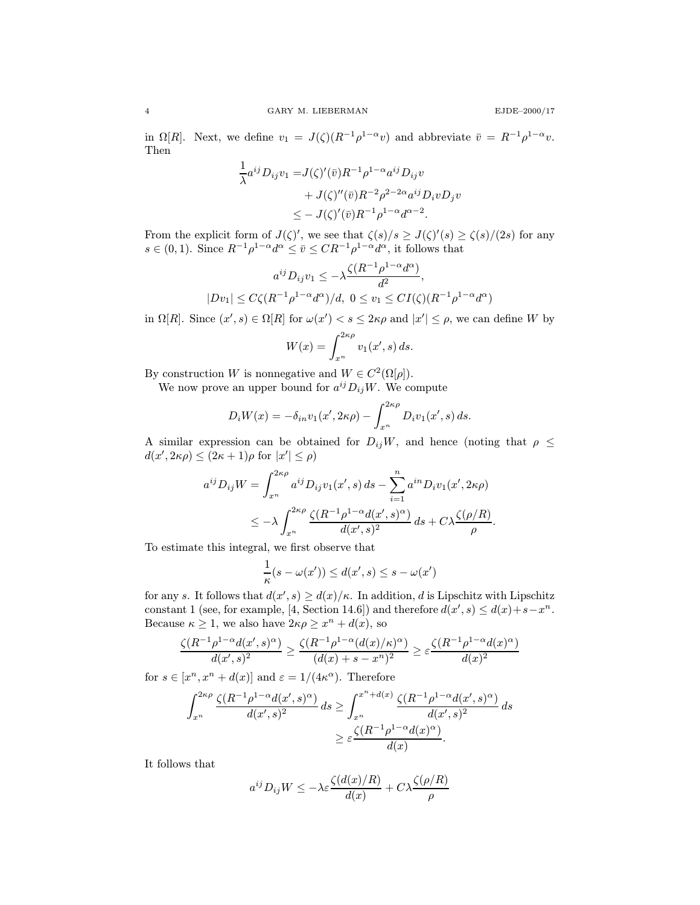in  $\Omega[R]$ . Next, we define  $v_1 = J(\zeta)(R^{-1}\rho^{1-\alpha}v)$  and abbreviate  $\bar{v} = R^{-1}\rho^{1-\alpha}v$ . Then

$$
\frac{1}{\lambda} a^{ij} D_{ij} v_1 = J(\zeta)'(\bar{v}) R^{-1} \rho^{1-\alpha} a^{ij} D_{ij} v
$$
  
+  $J(\zeta)''(\bar{v}) R^{-2} \rho^{2-2\alpha} a^{ij} D_i v D_j v$   
 $\leq - J(\zeta)'(\bar{v}) R^{-1} \rho^{1-\alpha} d^{\alpha-2}.$ 

From the explicit form of  $J(\zeta)'$ , we see that  $\zeta(s)/s \geq J(\zeta)'(s) \geq \zeta(s)/(2s)$  for any  $s \in (0, 1)$ . Since  $R^{-1}\rho^{1-\alpha}d^{\alpha} \leq \overline{v} \leq CR^{-1}\rho^{1-\alpha}d^{\alpha}$ , it follows that

$$
a^{ij}D_{ij}v_1 \le -\lambda \frac{\zeta(R^{-1}\rho^{1-\alpha}d^{\alpha})}{d^2},
$$
  

$$
|Dv_1| \le C\zeta(R^{-1}\rho^{1-\alpha}d^{\alpha})/d, \ 0 \le v_1 \le CI(\zeta)(R^{-1}\rho^{1-\alpha}d^{\alpha})
$$

in  $\Omega[R]$ . Since  $(x', s) \in \Omega[R]$  for  $\omega(x') < s \leq 2\kappa\rho$  and  $|x'| \leq \rho$ , we can define W by

$$
W(x) = \int_{x^n}^{2\kappa \rho} v_1(x',s) \, ds.
$$

By construction W is nonnegative and  $W \in C^2(\Omega[\rho]).$ 

We now prove an upper bound for  $a^{ij}D_{ij}W$ . We compute

$$
D_i W(x) = -\delta_{in} v_1(x', 2\kappa \rho) - \int_{x^n}^{2\kappa \rho} D_i v_1(x', s) ds.
$$

A similar expression can be obtained for  $D_{ij}W$ , and hence (noting that  $\rho \leq$  $d(x', 2\kappa \rho) \le (2\kappa + 1)\rho$  for  $|x'| \le \rho$ )

$$
a^{ij}D_{ij}W = \int_{x^n}^{2\kappa\rho} a^{ij}D_{ij}v_1(x',s) ds - \sum_{i=1}^n a^{in}D_i v_1(x',2\kappa\rho)
$$
  

$$
\leq -\lambda \int_{x^n}^{2\kappa\rho} \frac{\zeta(R^{-1}\rho^{1-\alpha}d(x',s)^\alpha)}{d(x',s)^2} ds + C\lambda \frac{\zeta(\rho/R)}{\rho}.
$$

To estimate this integral, we first observe that

$$
\frac{1}{\kappa}(s - \omega(x')) \leq d(x', s) \leq s - \omega(x')
$$

for any s. It follows that  $d(x', s) \ge d(x)/\kappa$ . In addition, d is Lipschitz with Lipschitz constant 1 (see, for example, [4, Section 14.6]) and therefore  $d(x', s) \leq d(x) + s - x^n$ . Because  $\kappa \geq 1$ , we also have  $2\kappa \rho \geq x^n + d(x)$ , so

$$
\frac{\zeta(R^{-1}\rho^{1-\alpha}d(x',s)^\alpha)}{d(x',s)^2} \ge \frac{\zeta(R^{-1}\rho^{1-\alpha}(d(x)/\kappa)^\alpha)}{(d(x)+s-x^n)^2} \ge \varepsilon \frac{\zeta(R^{-1}\rho^{1-\alpha}d(x)^\alpha)}{d(x)^2}
$$

for  $s \in [x^n, x^n + d(x)]$  and  $\varepsilon = 1/(4\kappa^{\alpha})$ . Therefore

$$
\int_{x^n}^{2\kappa\rho} \frac{\zeta(R^{-1}\rho^{1-\alpha}d(x',s)^\alpha)}{d(x',s)^2} ds \ge \int_{x^n}^{x^n+d(x)} \frac{\zeta(R^{-1}\rho^{1-\alpha}d(x',s)^\alpha)}{d(x',s)^2} ds
$$

$$
\ge \varepsilon \frac{\zeta(R^{-1}\rho^{1-\alpha}d(x)^\alpha)}{d(x)}.
$$

It follows that

$$
a^{ij} D_{ij} W \le -\lambda \varepsilon \frac{\zeta(d(x)/R)}{d(x)} + C\lambda \frac{\zeta(\rho/R)}{\rho}
$$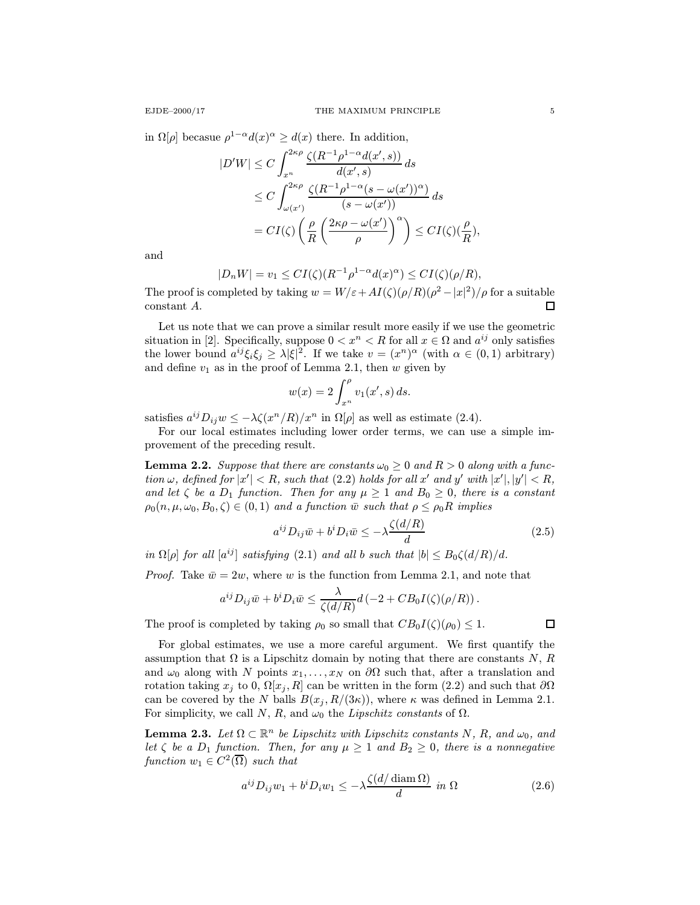in  $\Omega[\rho]$  becasue  $\rho^{1-\alpha}d(x)^{\alpha} \geq d(x)$  there. In addition,

$$
\begin{split} |D'W| &\leq C \int_{x^n}^{2\kappa\rho} \frac{\zeta(R^{-1}\rho^{1-\alpha}d(x',s))}{d(x',s)} ds \\ &\leq C \int_{\omega(x')}^{2\kappa\rho} \frac{\zeta(R^{-1}\rho^{1-\alpha}(s-\omega(x'))^{\alpha})}{(s-\omega(x'))} ds \\ &= CI(\zeta) \left(\frac{\rho}{R} \left(\frac{2\kappa\rho-\omega(x')}{\rho}\right)^{\alpha}\right) \leq CI(\zeta) (\frac{\rho}{R}), \end{split}
$$

and

$$
|D_nW| = v_1 \le CI(\zeta)(R^{-1}\rho^{1-\alpha}d(x)^{\alpha}) \le CI(\zeta)(\rho/R),
$$

The proof is completed by taking  $w = W/\varepsilon + AI(\zeta)(\rho/R)(\rho^2 - |x|^2)/\rho$  for a suitable constant A. П

Let us note that we can prove a similar result more easily if we use the geometric situation in [2]. Specifically, suppose  $0 < x^n < R$  for all  $x \in \Omega$  and  $a^{ij}$  only satisfies the lower bound  $a^{ij}\xi_i\xi_j \geq \lambda |\xi|^2$ . If we take  $v = (x^n)^\alpha$  (with  $\alpha \in (0,1)$  arbitrary) and define  $v_1$  as in the proof of Lemma 2.1, then w given by

$$
w(x) = 2 \int_{x^n}^{\rho} v_1(x', s) ds.
$$

satisfies  $a^{ij}D_{ij}w \leq -\lambda \zeta(x^n/R)/x^n$  in  $\Omega[\rho]$  as well as estimate (2.4).

For our local estimates including lower order terms, we can use a simple improvement of the preceding result.

**Lemma 2.2.** Suppose that there are constants  $\omega_0 \geq 0$  and  $R > 0$  along with a function  $\omega$ , defined for  $|x'| < R$ , such that (2.2) holds for all x' and y' with  $|x'|, |y'| < R$ , and let  $\zeta$  be a  $D_1$  function. Then for any  $\mu \geq 1$  and  $B_0 \geq 0$ , there is a constant  $\rho_0(n,\mu,\omega_0,B_0,\zeta)\in(0,1)$  and a function  $\bar{w}$  such that  $\rho\leq\rho_0R$  implies

$$
a^{ij}D_{ij}\bar{w} + b^i D_i \bar{w} \le -\lambda \frac{\zeta(d/R)}{d} \tag{2.5}
$$

in  $\Omega[\rho]$  for all  $[a^{ij}]$  satisfying (2.1) and all b such that  $|b| \leq B_0 \zeta(d/R)/d$ .

*Proof.* Take  $\bar{w} = 2w$ , where w is the function from Lemma 2.1, and note that

$$
a^{ij}D_{ij}\bar{w}+b^iD_i\bar{w}\leq \frac{\lambda}{\zeta(d/R)}d\left(-2+CB_0I(\zeta)(\rho/R)\right).
$$

The proof is completed by taking  $\rho_0$  so small that  $CB_0I(\zeta)(\rho_0) \leq 1$ .

$$
\Box
$$

For global estimates, we use a more careful argument. We first quantify the assumption that  $\Omega$  is a Lipschitz domain by noting that there are constants N, R and  $\omega_0$  along with N points  $x_1, \ldots, x_N$  on  $\partial\Omega$  such that, after a translation and rotation taking  $x_j$  to 0,  $\Omega[x_j, R]$  can be written in the form (2.2) and such that  $\partial\Omega$ can be covered by the N balls  $B(x_i, R/(3\kappa))$ , where  $\kappa$  was defined in Lemma 2.1. For simplicity, we call N, R, and  $\omega_0$  the Lipschitz constants of  $\Omega$ .

**Lemma 2.3.** Let  $\Omega \subset \mathbb{R}^n$  be Lipschitz with Lipschitz constants N, R, and  $\omega_0$ , and let  $\zeta$  be a  $D_1$  function. Then, for any  $\mu \geq 1$  and  $B_2 \geq 0$ , there is a nonnegative function  $w_1 \in C^2(\overline{\Omega})$  such that

$$
a^{ij}D_{ij}w_1 + b^i D_i w_1 \le -\lambda \frac{\zeta(d/\operatorname{diam}\Omega)}{d} \text{ in } \Omega \tag{2.6}
$$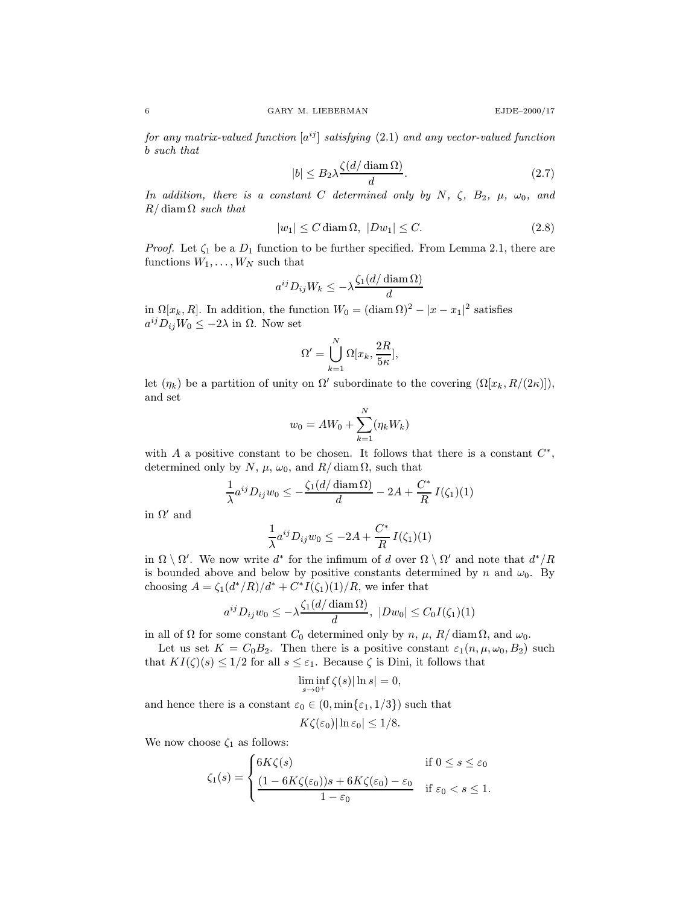for any matrix-valued function  $[a^{ij}]$  satisfying (2.1) and any vector-valued function b such that

$$
|b| \le B_2 \lambda \frac{\zeta(d/\operatorname{diam}\Omega)}{d}.\tag{2.7}
$$

In addition, there is a constant C determined only by N,  $\zeta$ ,  $B_2$ ,  $\mu$ ,  $\omega_0$ , and  $R/\operatorname{diam}\Omega$  such that

$$
|w_1| \le C \operatorname{diam}\Omega, \ |Dw_1| \le C. \tag{2.8}
$$

*Proof.* Let  $\zeta_1$  be a  $D_1$  function to be further specified. From Lemma 2.1, there are functions  $W_1, \ldots, W_N$  such that

$$
a^{ij}D_{ij}W_k \le -\lambda \frac{\zeta_1(d/\operatorname{diam}\Omega)}{d}
$$

in  $\Omega[x_k, R]$ . In addition, the function  $W_0 = (\text{diam }\Omega)^2 - |x - x_1|^2$  satisfies  $a^{ij}D_{ij}W_0 \leq -2\lambda$  in  $\Omega$ . Now set

$$
\Omega' = \bigcup_{k=1}^N \Omega[x_k, \frac{2R}{5\kappa}],
$$

let  $(\eta_k)$  be a partition of unity on  $\Omega'$  subordinate to the covering  $(\Omega[x_k, R/(2\kappa)]),$ and set

$$
w_0 = AW_0 + \sum_{k=1}^{N} (\eta_k W_k)
$$

with A a positive constant to be chosen. It follows that there is a constant  $C^*$ , determined only by N,  $\mu$ ,  $\omega_0$ , and R/ diam  $\Omega$ , such that

$$
\frac{1}{\lambda}a^{ij}D_{ij}w_0 \le -\frac{\zeta_1(d/\operatorname{diam}\Omega)}{d} - 2A + \frac{C^*}{R}I(\zeta_1)(1)
$$

in  $\Omega'$  and

$$
\frac{1}{\lambda}a^{ij}D_{ij}w_0 \le -2A + \frac{C^*}{R}I(\zeta_1)(1)
$$

in  $\Omega \setminus \Omega'$ . We now write d<sup>\*</sup> for the infimum of d over  $\Omega \setminus \Omega'$  and note that  $d^*/R$ is bounded above and below by positive constants determined by n and  $\omega_0$ . By choosing  $A = \zeta_1(d^*/R)/d^* + C^*I(\zeta_1)(1)/R$ , we infer that

$$
a^{ij}D_{ij}w_0 \leq -\lambda \frac{\zeta_1(d/\operatorname{diam}\Omega)}{d}, \ |Dw_0| \leq C_0I(\zeta_1)(1)
$$

in all of  $\Omega$  for some constant  $C_0$  determined only by n,  $\mu$ ,  $R/\text{diam }\Omega$ , and  $\omega_0$ .

Let us set  $K = C_0B_2$ . Then there is a positive constant  $\varepsilon_1(n, \mu, \omega_0, B_2)$  such that  $KI(\zeta)(s) \leq 1/2$  for all  $s \leq \varepsilon_1$ . Because  $\zeta$  is Dini, it follows that

$$
\liminf_{s\to 0^+}\zeta(s)|\ln s|=0,
$$

and hence there is a constant  $\varepsilon_0 \in (0, \min\{\varepsilon_1, 1/3\})$  such that

$$
K\zeta(\varepsilon_0)|\ln \varepsilon_0|\leq 1/8.
$$

We now choose  $\zeta_1$  as follows:

$$
\zeta_1(s) = \begin{cases} 6K\zeta(s) & \text{if } 0 \le s \le \varepsilon_0 \\ \frac{(1 - 6K\zeta(\varepsilon_0))s + 6K\zeta(\varepsilon_0) - \varepsilon_0}{1 - \varepsilon_0} & \text{if } \varepsilon_0 < s \le 1. \end{cases}
$$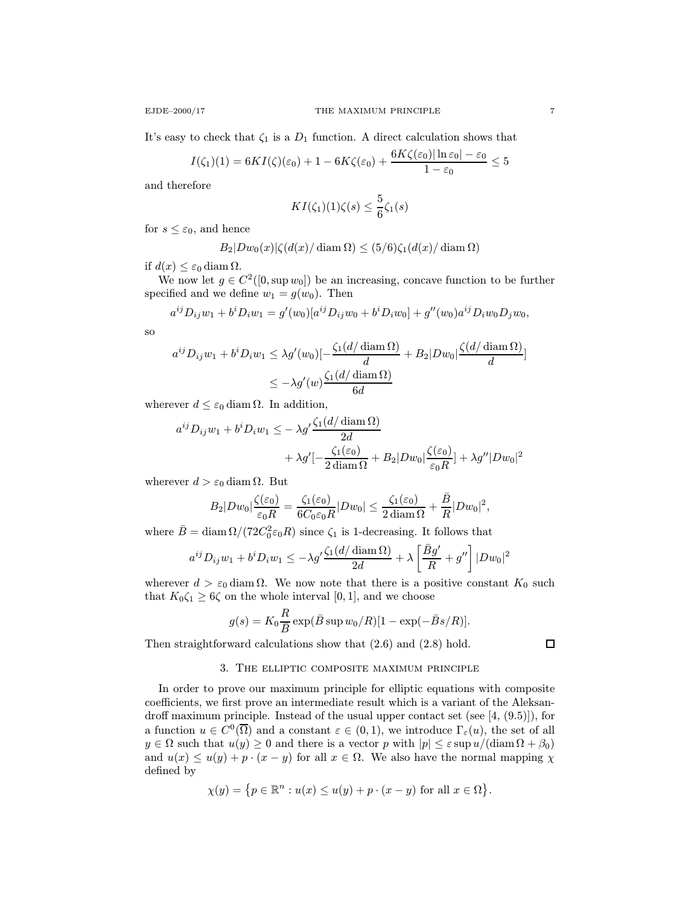It's easy to check that  $\zeta_1$  is a  $D_1$  function. A direct calculation shows that

$$
I(\zeta_1)(1) = 6KI(\zeta)(\varepsilon_0) + 1 - 6K\zeta(\varepsilon_0) + \frac{6K\zeta(\varepsilon_0)|\ln \varepsilon_0| - \varepsilon_0}{1 - \varepsilon_0} \le 5
$$

and therefore

$$
KI(\zeta_1)(1)\zeta(s) \leq \frac{5}{6}\zeta_1(s)
$$

for  $s \leq \varepsilon_0$ , and hence

$$
B_2|Dw_0(x)|\zeta(d(x)/\operatorname{diam}\Omega)\leq (5/6)\zeta_1(d(x)/\operatorname{diam}\Omega)
$$

if  $d(x) \leq \varepsilon_0 \operatorname{diam}\Omega$ .

We now let  $g \in C^2([0, \sup w_0])$  be an increasing, concave function to be further specified and we define  $w_1 = g(w_0)$ . Then

$$
a^{ij}D_{ij}w_1 + b^i D_i w_1 = g'(w_0)[a^{ij}D_{ij}w_0 + b^i D_i w_0] + g''(w_0)a^{ij}D_i w_0 D_j w_0,
$$

so

$$
a^{ij}D_{ij}w_1 + b^i D_i w_1 \le \lambda g'(w_0) \left[-\frac{\zeta_1(d/\operatorname{diam}\Omega)}{d} + B_2|Dw_0|\frac{\zeta(d/\operatorname{diam}\Omega)}{d}\right]
$$
  

$$
\le -\lambda g'(w) \frac{\zeta_1(d/\operatorname{diam}\Omega)}{6d}
$$

wherever  $d \leq \varepsilon_0 \operatorname{diam}\Omega$ . In addition,

$$
a^{ij}D_{ij}w_1 + b^i D_i w_1 \leq -\lambda g' \frac{\zeta_1(d/\operatorname{diam}\Omega)}{2d} + \lambda g' \left[ -\frac{\zeta_1(\varepsilon_0)}{2 \operatorname{diam}\Omega} + B_2 |Dw_0| \frac{\zeta(\varepsilon_0)}{\varepsilon_0 R} \right] + \lambda g'' |Dw_0|^2
$$

wherever  $d > \varepsilon_0$  diam  $\Omega$ . But

$$
B_2|Dw_0|\frac{\zeta(\varepsilon_0)}{\varepsilon_0 R}=\frac{\zeta_1(\varepsilon_0)}{6C_0\varepsilon_0 R}|Dw_0|\leq \frac{\zeta_1(\varepsilon_0)}{2\,\mathrm{diam}\,\Omega}+\frac{\bar{B}}{R}|Dw_0|^2,
$$

where  $\bar{B} = \text{diam}\,\Omega/(72C_0^2\varepsilon_0 R)$  since  $\zeta_1$  is 1-decreasing. It follows that

$$
a^{ij}D_{ij}w_1 + b^i D_i w_1 \le -\lambda g' \frac{\zeta_1(d/\operatorname{diam}\Omega)}{2d} + \lambda \left[\frac{\bar{B}g'}{R} + g''\right] |Dw_0|^2
$$

wherever  $d > \varepsilon_0$  diam  $\Omega$ . We now note that there is a positive constant  $K_0$  such that  $K_0 \zeta_1 \geq 6\zeta$  on the whole interval [0, 1], and we choose

$$
g(s) = K_0 \frac{R}{\overline{B}} \exp(\overline{B} \sup w_0/R)[1 - \exp(-\overline{B}s/R)].
$$

Then straightforward calculations show that (2.6) and (2.8) hold.

$$
\overline{\Box}
$$

# 3. The elliptic composite maximum principle

In order to prove our maximum principle for elliptic equations with composite coefficients, we first prove an intermediate result which is a variant of the Aleksandroff maximum principle. Instead of the usual upper contact set (see [4, (9.5)]), for a function  $u \in C^0(\overline{\Omega})$  and a constant  $\varepsilon \in (0,1)$ , we introduce  $\Gamma_{\varepsilon}(u)$ , the set of all  $y \in \Omega$  such that  $u(y) \geq 0$  and there is a vector p with  $|p| \leq \varepsilon \sup u/(\text{diam}\,\Omega + \beta_0)$ and  $u(x) \le u(y) + p \cdot (x - y)$  for all  $x \in \Omega$ . We also have the normal mapping  $\chi$ defined by

$$
\chi(y) = \{ p \in \mathbb{R}^n : u(x) \le u(y) + p \cdot (x - y) \text{ for all } x \in \Omega \}.
$$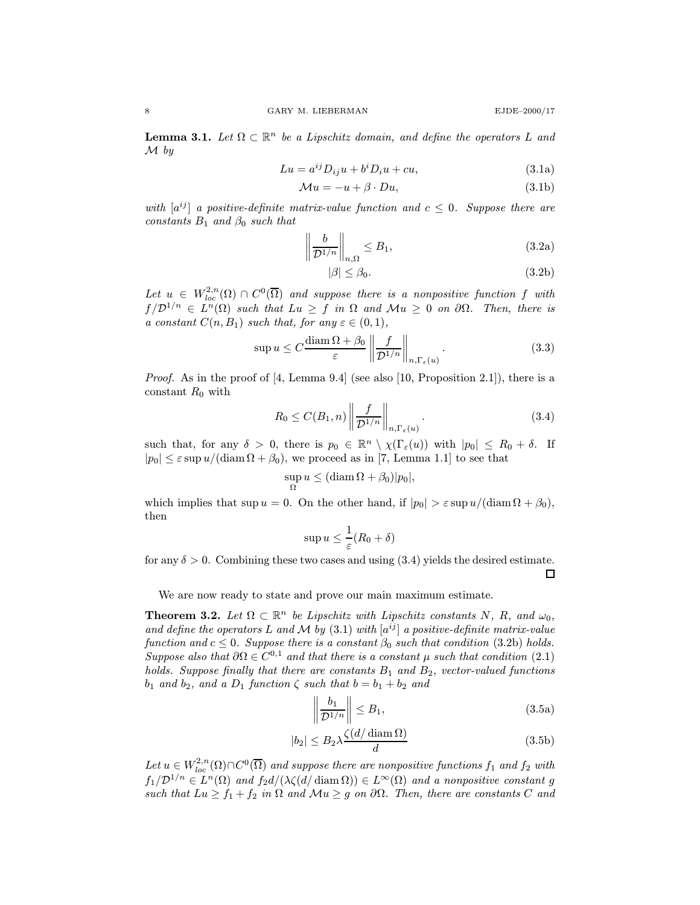**Lemma 3.1.** Let  $\Omega \subset \mathbb{R}^n$  be a Lipschitz domain, and define the operators L and  $\mathcal M$  by

$$
Lu = a^{ij}D_{ij}u + b^i D_i u + cu,
$$
\n(3.1a)

$$
\mathcal{M}u = -u + \beta \cdot Du,\tag{3.1b}
$$

with  $[a^{ij}]$  a positive-definite matrix-value function and  $c \leq 0$ . Suppose there are constants  $B_1$  and  $\beta_0$  such that

$$
\left\|\frac{b}{\mathcal{D}^{1/n}}\right\|_{n,\Omega} \le B_1,\tag{3.2a}
$$

$$
|\beta| \le \beta_0. \tag{3.2b}
$$

Let  $u \in W^{2,n}_{loc}(\Omega) \cap C^0(\overline{\Omega})$  and suppose there is a nonpositive function f with  $f/\mathcal{D}^{1/n} \in L^{n}(\Omega)$  such that  $Lu \geq f$  in  $\Omega$  and  $\mathcal{M}u \geq 0$  on  $\partial\Omega$ . Then, there is a constant  $C(n, B_1)$  such that, for any  $\varepsilon \in (0, 1)$ ,

$$
\sup u \le C \frac{\text{diam}\,\Omega + \beta_0}{\varepsilon} \left\| \frac{f}{\mathcal{D}^{1/n}} \right\|_{n, \Gamma_{\varepsilon}(u)}.\tag{3.3}
$$

*Proof.* As in the proof of  $[4, \text{Lemma } 9.4]$  (see also  $[10, \text{Proposition } 2.1]$ ), there is a constant  $R_0$  with

$$
R_0 \le C(B_1, n) \left\| \frac{f}{\mathcal{D}^{1/n}} \right\|_{n, \Gamma_{\varepsilon}(u)}.
$$
\n(3.4)

such that, for any  $\delta > 0$ , there is  $p_0 \in \mathbb{R}^n \setminus \chi(\Gamma_{\varepsilon}(u))$  with  $|p_0| \le R_0 + \delta$ . If  $|p_0| \leq \varepsilon \sup u/(\text{diam}\,\Omega + \beta_0)$ , we proceed as in [7, Lemma 1.1] to see that

$$
\sup_{\Omega} u \leq (\operatorname{diam} \Omega + \beta_0)|p_0|,
$$

which implies that  $\sup u = 0$ . On the other hand, if  $|p_0| > \varepsilon \sup u/(\text{diam}\,\Omega + \beta_0)$ , then

$$
\sup u \leq \frac{1}{\varepsilon}(R_0 + \delta)
$$

for any  $\delta > 0$ . Combining these two cases and using (3.4) yields the desired estimate.  $\Box$ 

We are now ready to state and prove our main maximum estimate.

**Theorem 3.2.** Let  $\Omega \subset \mathbb{R}^n$  be Lipschitz with Lipschitz constants N, R, and  $\omega_0$ , and define the operators L and M by (3.1) with  $[a^{ij}]$  a positive-definite matrix-value function and  $c \leq 0$ . Suppose there is a constant  $\beta_0$  such that condition (3.2b) holds. Suppose also that  $\partial \Omega \in C^{0,1}$  and that there is a constant  $\mu$  such that condition (2.1) holds. Suppose finally that there are constants  $B_1$  and  $B_2$ , vector-valued functions  $b_1$  and  $b_2$ , and a  $D_1$  function  $\zeta$  such that  $b = b_1 + b_2$  and

$$
\left\|\frac{b_1}{\mathcal{D}^{1/n}}\right\| \le B_1,\tag{3.5a}
$$

$$
|b_2| \le B_2 \lambda \frac{\zeta(d/\operatorname{diam}\Omega)}{d} \tag{3.5b}
$$

Let  $u \in W_{loc}^{2,n}(\Omega) \cap C^0(\overline{\Omega})$  and suppose there are nonpositive functions  $f_1$  and  $f_2$  with  $f_1/\mathcal{D}^{1/n} \in L^n(\Omega)$  and  $f_2d/(\lambda \zeta(d/\operatorname{diam}\Omega)) \in L^\infty(\Omega)$  and a nonpositive constant g such that  $Lu \ge f_1 + f_2$  in  $\Omega$  and  $Mu \ge g$  on  $\partial \Omega$ . Then, there are constants C and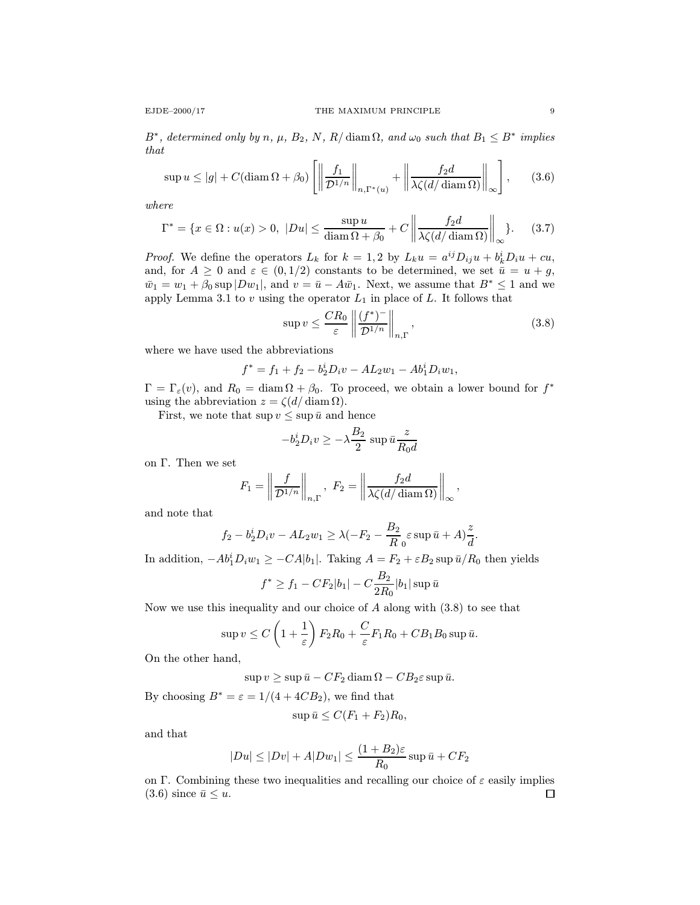$$
\sup u \le |g| + C(\operatorname{diam}\Omega + \beta_0) \left[ \left\| \frac{f_1}{\mathcal{D}^{1/n}} \right\|_{n, \Gamma^*(u)} + \left\| \frac{f_2 d}{\lambda \zeta(d/\operatorname{diam}\Omega)} \right\|_{\infty} \right], \qquad (3.6)
$$

where

$$
\Gamma^* = \{x \in \Omega : u(x) > 0, \ |Du| \le \frac{\sup u}{\operatorname{diam}\Omega + \beta_0} + C \left\| \frac{f_2 d}{\lambda \zeta(d/\operatorname{diam}\Omega)} \right\|_{\infty} \}.
$$
 (3.7)

*Proof.* We define the operators  $L_k$  for  $k = 1,2$  by  $L_k u = a^{ij} D_{ij} u + b^i_k D_i u + cu$ , and, for  $A \geq 0$  and  $\varepsilon \in (0, 1/2)$  constants to be determined, we set  $\bar{u} = u + g$ ,  $\bar{w}_1 = w_1 + \beta_0 \sup |Dw_1|$ , and  $v = \bar{u} - A\bar{w}_1$ . Next, we assume that  $B^* \leq 1$  and we apply Lemma 3.1 to  $v$  using the operator  $L_1$  in place of  $L$ . It follows that

$$
\sup v \le \frac{CR_0}{\varepsilon} \left\| \frac{(f^*)^-}{\mathcal{D}^{1/n}} \right\|_{n,\Gamma},\tag{3.8}
$$

.

where we have used the abbreviations

$$
f^* = f_1 + f_2 - b_2^i D_i v - A L_2 w_1 - A b_1^i D_i w_1,
$$

 $\Gamma=\Gamma_{\varepsilon}(v)$ , and  $R_0 = \text{diam }\Omega + \beta_0$ . To proceed, we obtain a lower bound for  $f^*$ using the abbreviation  $z = \zeta(d/\operatorname{diam}\Omega)$ .

First, we note that  $\sup v \leq \sup \bar{u}$  and hence

$$
-b_2^i D_i v \ge -\lambda \frac{B_2}{2} \sup \bar{u} \frac{z}{R_0 d}
$$

on Γ. Then we set

$$
F_1 = \left\| \frac{f}{\mathcal{D}^{1/n}} \right\|_{n,\Gamma}, \quad F_2 = \left\| \frac{f_2 d}{\lambda \zeta(d/\operatorname{diam} \Omega)} \right\|_{\infty},
$$

and note that

$$
f_2 - b_2^i D_i v - AL_2 w_1 \ge \lambda(-F_2 - \frac{B_2}{R_0} \varepsilon \sup \bar{u} + A) \frac{z}{d}
$$

In addition,  $-Ab_1^i D_i w_1 \ge -CA|b_1|$ . Taking  $A = F_2 + \varepsilon B_2 \sup \bar{u}/R_0$  then yields

$$
f^* \ge f_1 - CF_2|b_1| - C\frac{B_2}{2R_0}|b_1| \sup \bar{u}
$$

Now we use this inequality and our choice of  $A$  along with  $(3.8)$  to see that

$$
\sup v \le C\left(1+\frac{1}{\varepsilon}\right)F_2R_0 + \frac{C}{\varepsilon}F_1R_0 + CB_1B_0\sup\bar{u}.
$$

On the other hand,

$$
\sup v \ge \sup \bar{u} - CF_2 \operatorname{diam} \Omega - CB_2 \varepsilon \sup \bar{u}.
$$

By choosing  $B^* = \varepsilon = 1/(4 + 4CB_2)$ , we find that

$$
\sup \bar{u} \le C(F_1 + F_2)R_0,
$$

and that

$$
|Du| \le |Dv| + A|Dw_1| \le \frac{(1+B_2)\varepsilon}{R_0} \sup \bar{u} + CF_2
$$

on Γ. Combining these two inequalities and recalling our choice of  $\varepsilon$  easily implies  $(3.6)$  since  $\bar{u} \leq u$ .  $\Box$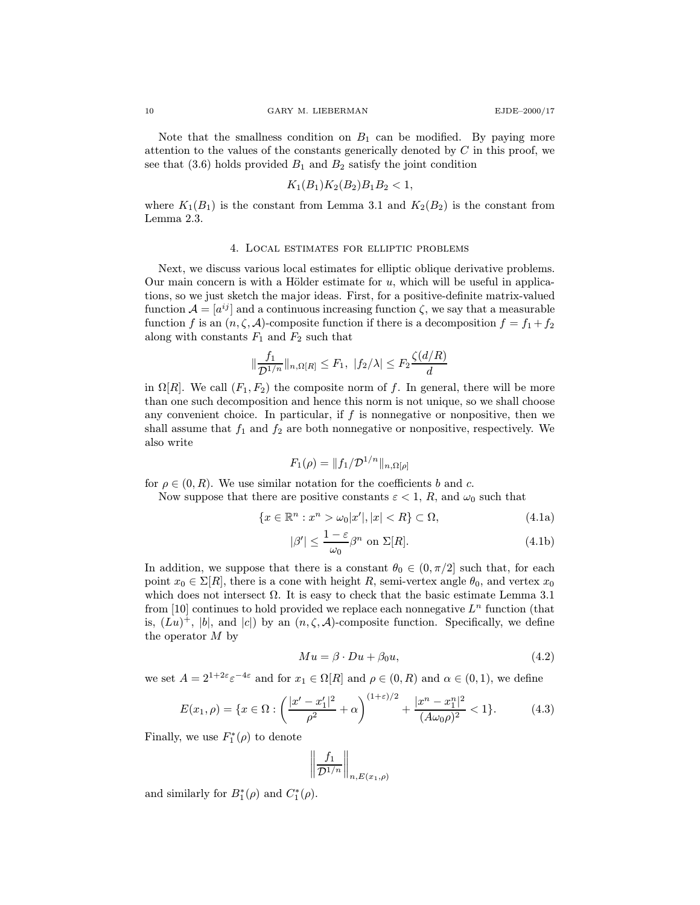Note that the smallness condition on  $B_1$  can be modified. By paying more attention to the values of the constants generically denoted by  $C$  in this proof, we see that  $(3.6)$  holds provided  $B_1$  and  $B_2$  satisfy the joint condition

$$
K_1(B_1)K_2(B_2)B_1B_2<1,
$$

where  $K_1(B_1)$  is the constant from Lemma 3.1 and  $K_2(B_2)$  is the constant from Lemma 2.3.

### 4. Local estimates for elliptic problems

Next, we discuss various local estimates for elliptic oblique derivative problems. Our main concern is with a Hölder estimate for  $u$ , which will be useful in applications, so we just sketch the major ideas. First, for a positive-definite matrix-valued function  $\mathcal{A} = [a^{ij}]$  and a continuous increasing function  $\zeta$ , we say that a measurable function f is an  $(n, \zeta, \mathcal{A})$ -composite function if there is a decomposition  $f = f_1 + f_2$ along with constants  $F_1$  and  $F_2$  such that

$$
\|\frac{f_1}{\mathcal{D}^{1/n}}\|_{n,\Omega[R]} \leq F_1, \ |f_2/\lambda| \leq F_2 \frac{\zeta(d/R)}{d}
$$

in  $\Omega[R]$ . We call  $(F_1, F_2)$  the composite norm of f. In general, there will be more than one such decomposition and hence this norm is not unique, so we shall choose any convenient choice. In particular, if  $f$  is nonnegative or nonpositive, then we shall assume that  $f_1$  and  $f_2$  are both nonnegative or nonpositive, respectively. We also write

$$
F_1(\rho) = \|f_1/\mathcal{D}^{1/n}\|_{n,\Omega[\rho]}
$$

for  $\rho \in (0, R)$ . We use similar notation for the coefficients b and c.

Now suppose that there are positive constants  $\varepsilon < 1$ , R, and  $\omega_0$  such that

$$
\{x \in \mathbb{R}^n : x^n > \omega_0 |x'|, |x| < R\} \subset \Omega,\tag{4.1a}
$$

$$
|\beta'| \le \frac{1-\varepsilon}{\omega_0} \beta^n \text{ on } \Sigma[R]. \tag{4.1b}
$$

In addition, we suppose that there is a constant  $\theta_0 \in (0, \pi/2]$  such that, for each point  $x_0 \in \Sigma[R]$ , there is a cone with height R, semi-vertex angle  $\theta_0$ , and vertex  $x_0$ which does not intersect  $\Omega$ . It is easy to check that the basic estimate Lemma 3.1 from [10] continues to hold provided we replace each nonnegative  $L^n$  function (that is,  $(Lu)^+$ , |b|, and |c|) by an  $(n, \zeta, \mathcal{A})$ -composite function. Specifically, we define the operator  $M$  by

$$
Mu = \beta \cdot Du + \beta_0 u,\tag{4.2}
$$

we set  $A = 2^{1+2\varepsilon} \varepsilon^{-4\varepsilon}$  and for  $x_1 \in \Omega[R]$  and  $\rho \in (0, R)$  and  $\alpha \in (0, 1)$ , we define

$$
E(x_1, \rho) = \{x \in \Omega : \left(\frac{|x'-x'_1|^2}{\rho^2} + \alpha\right)^{(1+\varepsilon)/2} + \frac{|x^n - x_1^n|^2}{(A\omega_0\rho)^2} < 1\}.
$$
 (4.3)

Finally, we use  $F_1^*(\rho)$  to denote

$$
\left\|\frac{f_1}{\mathcal{D}^{1/n}}\right\|_{n,E(x_1,\rho)}
$$

and similarly for  $B_1^*(\rho)$  and  $C_1^*(\rho)$ .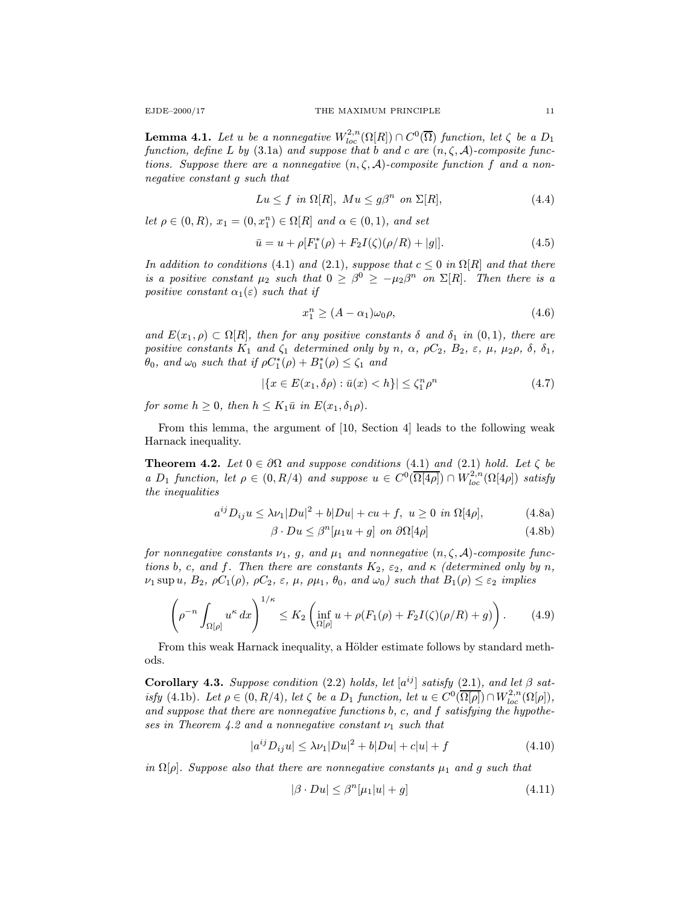**Lemma 4.1.** Let u be a nonnegative  $W^{2,n}_{loc}(\Omega[R]) \cap C^0(\overline{\Omega})$  function, let  $\zeta$  be a  $D_1$ function, define L by (3.1a) and suppose that b and c are  $(n, \zeta, \mathcal{A})$ -composite functions. Suppose there are a nonnegative  $(n, \zeta, \mathcal{A})$ -composite function f and a nonnegative constant g such that

$$
Lu \le f \ \ in \ \Omega[R], \ M u \le g\beta^n \ \ on \ \Sigma[R], \tag{4.4}
$$

let  $\rho \in (0, R)$ ,  $x_1 = (0, x_1^n) \in \Omega[R]$  and  $\alpha \in (0, 1)$ , and set

$$
\bar{u} = u + \rho [F_1^*(\rho) + F_2 I(\zeta)(\rho/R) + |g|]. \tag{4.5}
$$

In addition to conditions (4.1) and (2.1), suppose that  $c \leq 0$  in  $\Omega[R]$  and that there is a positive constant  $\mu_2$  such that  $0 \geq \beta^0 \geq -\mu_2\beta^n$  on  $\Sigma[R]$ . Then there is a positive constant  $\alpha_1(\varepsilon)$  such that if

$$
x_1^n \ge (A - \alpha_1)\omega_0 \rho, \tag{4.6}
$$

and  $E(x_1, \rho) \subset \Omega[R]$ , then for any positive constants  $\delta$  and  $\delta_1$  in  $(0, 1)$ , there are positive constants  $K_1$  and  $\zeta_1$  determined only by n,  $\alpha$ ,  $\rho C_2$ ,  $B_2$ ,  $\varepsilon$ ,  $\mu$ ,  $\mu_2 \rho$ ,  $\delta$ ,  $\delta_1$ ,  $\theta_0$ , and  $\omega_0$  such that if  $\rho C_1^*(\rho) + B_1^*(\rho) \le \zeta_1$  and

$$
|\{x \in E(x_1, \delta \rho) : \bar{u}(x) < h\}| \le \zeta_1^n \rho^n \tag{4.7}
$$

for some  $h \geq 0$ , then  $h \leq K_1 \bar{u}$  in  $E(x_1, \delta_1 \rho)$ .

From this lemma, the argument of [10, Section 4] leads to the following weak Harnack inequality.

**Theorem 4.2.** Let  $0 \in \partial\Omega$  and suppose conditions (4.1) and (2.1) hold. Let  $\zeta$  be a D<sub>1</sub> function, let  $\rho \in (0, R/4)$  and suppose  $u \in C^0(\overline{\Omega[4\rho]}) \cap W^{2,n}_{loc}(\Omega[4\rho])$  satisfy the inequalities

$$
a^{ij}D_{ij}u \le \lambda \nu_1|Du|^2 + b|Du| + cu + f, \ u \ge 0 \ \ in \ \Omega[4\rho], \tag{4.8a}
$$

$$
\beta \cdot Du \le \beta^{n}[\mu_{1}u + g] \text{ on } \partial\Omega[4\rho] \tag{4.8b}
$$

for nonnegative constants  $\nu_1$ , g, and  $\mu_1$  and nonnegative  $(n, \zeta, \mathcal{A})$ -composite functions b, c, and f. Then there are constants  $K_2$ ,  $\varepsilon_2$ , and  $\kappa$  (determined only by n,  $\nu_1 \sup u, B_2, \rho C_1(\rho), \rho C_2, \varepsilon, \mu, \rho \mu_1, \theta_0, \text{ and } \omega_0) \text{ such that } B_1(\rho) \leq \varepsilon_2 \text{ implies}$ 

$$
\left(\rho^{-n}\int_{\Omega[\rho]}u^{\kappa}\,dx\right)^{1/\kappa}\leq K_2\left(\inf_{\Omega[\rho]}u+\rho(F_1(\rho)+F_2I(\zeta)(\rho/R)+g)\right). \tag{4.9}
$$

From this weak Harnack inequality, a Hölder estimate follows by standard methods.

**Corollary 4.3.** Suppose condition (2.2) holds, let  $[a^{ij}]$  satisfy (2.1), and let  $\beta$  satisfy (4.1b). Let  $\rho \in (0, R/4)$ , let  $\zeta$  be a  $D_1$  function, let  $u \in C^0(\overline{\Omega[\rho]}) \cap W_{loc}^{2,n}(\Omega[\rho]),$ and suppose that there are nonnegative functions b, c, and f satisfying the hypotheses in Theorem 4.2 and a nonnegative constant  $\nu_1$  such that

$$
|a^{ij}D_{ij}u| \le \lambda \nu_1 |Du|^2 + b|Du| + c|u| + f \tag{4.10}
$$

in  $\Omega[\rho]$ . Suppose also that there are nonnegative constants  $\mu_1$  and g such that

$$
|\beta \cdot Du| \le \beta^{n}[\mu_1|u| + g] \tag{4.11}
$$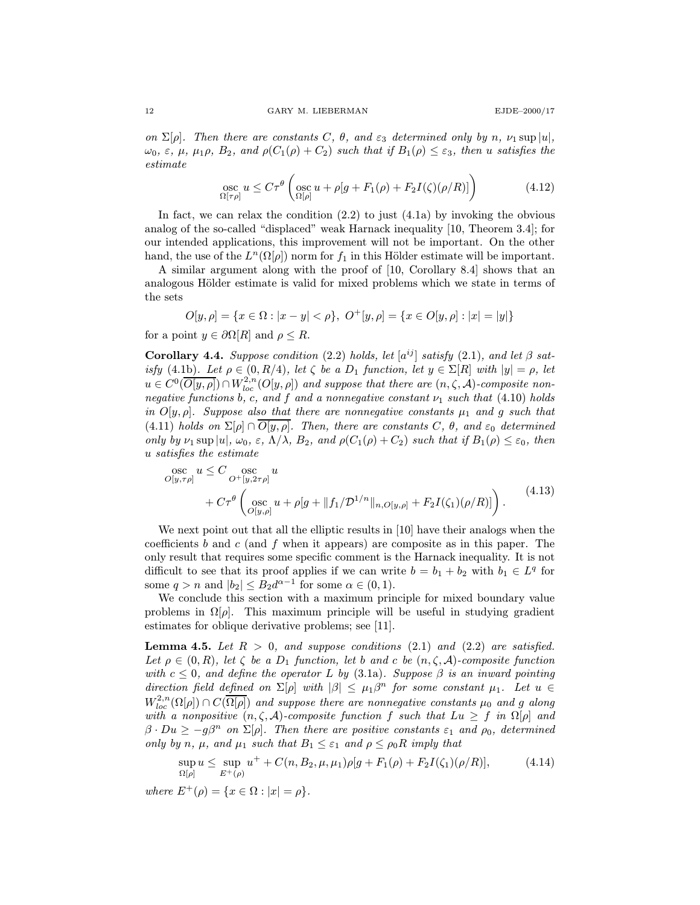on  $\Sigma[\rho]$ . Then there are constants C,  $\theta$ , and  $\varepsilon_3$  determined only by n,  $\nu_1 \sup |u|$ ,  $\omega_0, \varepsilon, \mu, \mu_1 \rho, B_2, \text{ and } \rho(C_1(\rho) + C_2) \text{ such that if } B_1(\rho) \leq \varepsilon_3, \text{ then } u \text{ satisfies the }$ estimate

$$
\underset{\Omega[\tau\rho]}{\mathrm{osc}} u \le C\tau^{\theta}\left(\underset{\Omega[\rho]}{\mathrm{osc}} u + \rho[g + F_1(\rho) + F_2I(\zeta)(\rho/R)]\right) \tag{4.12}
$$

In fact, we can relax the condition  $(2.2)$  to just  $(4.1a)$  by invoking the obvious analog of the so-called "displaced" weak Harnack inequality [10, Theorem 3.4]; for our intended applications, this improvement will not be important. On the other hand, the use of the  $L^n(\Omega[\rho])$  norm for  $f_1$  in this Hölder estimate will be important.

A similar argument along with the proof of [10, Corollary 8.4] shows that an analogous Hölder estimate is valid for mixed problems which we state in terms of the sets

$$
O[y,\rho]=\{x\in\Omega:|x-y|<\rho\},\ O^+[y,\rho]=\{x\in O[y,\rho]:|x|=|y|\}
$$

for a point  $y \in \partial \Omega[R]$  and  $\rho \leq R$ .

Corollary 4.4. Suppose condition (2.2) holds, let  $[a^{ij}]$  satisfy (2.1), and let  $\beta$  satisfy (4.1b). Let  $\rho \in (0, R/4)$ , let  $\zeta$  be a  $D_1$  function, let  $y \in \Sigma[R]$  with  $|y| = \rho$ , let  $u \in C^0(\overline{O[y,\rho]}) \cap W^{2,n}_{loc}(O[y,\rho])$  and suppose that there are  $(n,\zeta,\mathcal{A})$ -composite nonnegative functions b, c, and f and a nonnegative constant  $\nu_1$  such that (4.10) holds in  $O[y, \rho]$ . Suppose also that there are nonnegative constants  $\mu_1$  and g such that (4.11) holds on  $\Sigma[\rho] \cap \overline{O[y,\rho]}$ . Then, there are constants C,  $\theta$ , and  $\varepsilon_0$  determined only by  $\nu_1$  sup  $|u|, \omega_0, \varepsilon, \Lambda/\lambda, B_2,$  and  $\rho(C_1(\rho) + C_2)$  such that if  $B_1(\rho) \leq \varepsilon_0$ , then u satisfies the estimate

$$
\begin{split} \n\text{osc}_{O[y,\tau\rho]} u &\leq C \operatorname*{osc}_{O^+[y,2\tau\rho]} u \\ \n&+ C\tau^{\theta} \left( \operatorname*{osc}_{O[y,\rho]} u + \rho[g + \|f_1/\mathcal{D}^{1/n}\|_{n,O[y,\rho]} + F_2I(\zeta_1)(\rho/R)] \right). \n\end{split} \tag{4.13}
$$

We next point out that all the elliptic results in [10] have their analogs when the coefficients  $b$  and  $c$  (and  $f$  when it appears) are composite as in this paper. The only result that requires some specific comment is the Harnack inequality. It is not difficult to see that its proof applies if we can write  $b = b_1 + b_2$  with  $b_1 \in L^q$  for some  $q > n$  and  $|b_2| \leq B_2 d^{\alpha-1}$  for some  $\alpha \in (0, 1)$ .

We conclude this section with a maximum principle for mixed boundary value problems in  $\Omega[\rho]$ . This maximum principle will be useful in studying gradient estimates for oblique derivative problems; see [11].

**Lemma 4.5.** Let  $R > 0$ , and suppose conditions (2.1) and (2.2) are satisfied. Let  $\rho \in (0, R)$ , let  $\zeta$  be a  $D_1$  function, let b and c be  $(n, \zeta, A)$ -composite function with  $c \leq 0$ , and define the operator L by (3.1a). Suppose  $\beta$  is an inward pointing direction field defined on  $\Sigma[\rho]$  with  $|\beta| \leq \mu_1\beta^n$  for some constant  $\mu_1$ . Let  $u \in$  $W^{2,n}_{loc}(\Omega[\rho]) \cap C(\overline{\Omega[\rho]})$  and suppose there are nonnegative constants  $\mu_0$  and g along with a nonpositive  $(n, \zeta, \mathcal{A})$ -composite function f such that  $Lu \geq f$  in  $\Omega[\rho]$  and  $\beta \cdot Du \ge -g\beta^n$  on  $\Sigma[\rho]$ . Then there are positive constants  $\varepsilon_1$  and  $\rho_0$ , determined only by n,  $\mu$ , and  $\mu_1$  such that  $B_1 \leq \varepsilon_1$  and  $\rho \leq \rho_0 R$  imply that

$$
\sup_{\Omega[\rho]} u \leq \sup_{E^+(\rho)} u^+ + C(n, B_2, \mu, \mu_1) \rho[g + F_1(\rho) + F_2 I(\zeta_1)(\rho/R)], \tag{4.14}
$$

where  $E^+(\rho) = \{x \in \Omega : |x| = \rho\}.$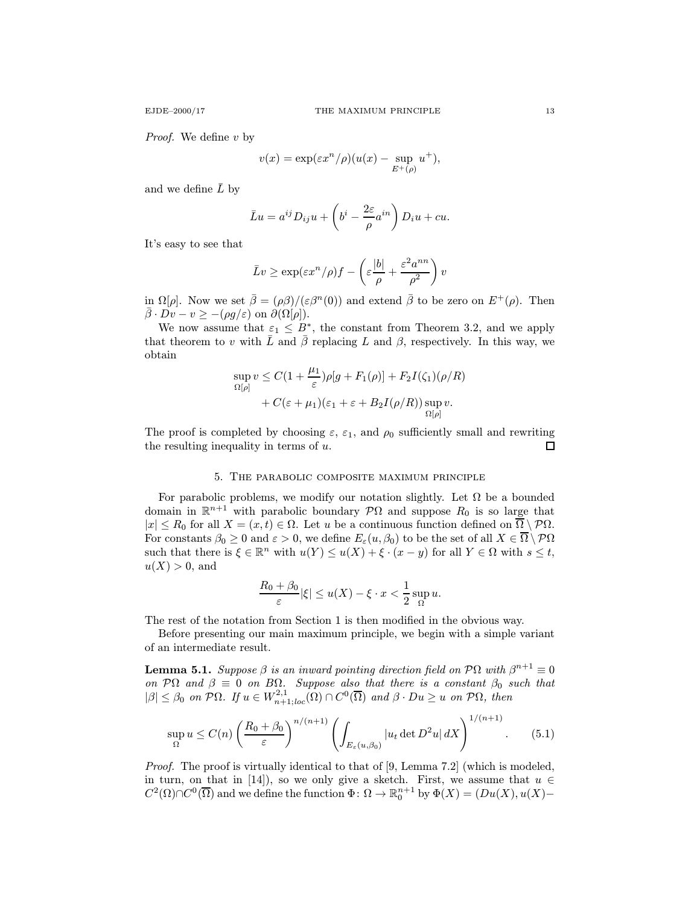Proof. We define v by

$$
v(x) = \exp(\varepsilon x^n/\rho)(u(x) - \sup_{E^+(\rho)} u^+),
$$

and we define  $\overline{L}$  by

$$
\bar{L}u = a^{ij}D_{ij}u + \left(b^i - \frac{2\varepsilon}{\rho}a^{in}\right)D_iu + cu.
$$

It's easy to see that

$$
\bar{L}v \ge \exp(\varepsilon x^n/\rho)f - \left(\varepsilon \frac{|b|}{\rho} + \frac{\varepsilon^2 a^{nn}}{\rho^2}\right)v
$$

in  $\Omega[\rho]$ . Now we set  $\bar{\beta} = (\rho\beta)/(\varepsilon\beta^{n}(0))$  and extend  $\bar{\beta}$  to be zero on  $E^{+}(\rho)$ . Then  $\bar{\beta} \cdot Dv - v \ge -(\rho g/\varepsilon)$  on  $\partial(\Omega[\rho]).$ 

We now assume that  $\varepsilon_1 \leq B^*$ , the constant from Theorem 3.2, and we apply that theorem to v with  $\bar{L}$  and  $\bar{\beta}$  replacing L and  $\beta$ , respectively. In this way, we obtain

$$
\sup_{\Omega[\rho]} v \leq C\left(1 + \frac{\mu_1}{\varepsilon}\right) \rho[g + F_1(\rho)] + F_2 I(\zeta_1)(\rho/R)
$$

$$
+ C(\varepsilon + \mu_1)(\varepsilon_1 + \varepsilon + B_2 I(\rho/R)) \sup_{\Omega[\rho]} v.
$$

The proof is completed by choosing  $\varepsilon$ ,  $\varepsilon_1$ , and  $\rho_0$  sufficiently small and rewriting the resulting inequality in terms of  $u$ .  $\Box$ 

# 5. The parabolic composite maximum principle

For parabolic problems, we modify our notation slightly. Let  $\Omega$  be a bounded domain in  $\mathbb{R}^{n+1}$  with parabolic boundary  $\mathcal{P}\Omega$  and suppose  $R_0$  is so large that  $|x| \le R_0$  for all  $X = (x, t) \in \Omega$ . Let u be a continuous function defined on  $\overline{\Omega} \setminus \mathcal{P}\Omega$ . For constants  $\beta_0 \geq 0$  and  $\varepsilon > 0$ , we define  $E_{\varepsilon}(u, \beta_0)$  to be the set of all  $X \in \overline{\Omega} \setminus \mathcal{P}\Omega$ such that there is  $\xi \in \mathbb{R}^n$  with  $u(Y) \leq u(X) + \xi \cdot (x - y)$  for all  $Y \in \Omega$  with  $s \leq t$ ,  $u(X) > 0$ , and

$$
\frac{R_0 + \beta_0}{\varepsilon} |\xi| \le u(X) - \xi \cdot x < \frac{1}{2} \sup_{\Omega} u.
$$

The rest of the notation from Section 1 is then modified in the obvious way.

Before presenting our main maximum principle, we begin with a simple variant of an intermediate result.

**Lemma 5.1.** Suppose  $\beta$  is an inward pointing direction field on  $\mathcal{P}\Omega$  with  $\beta^{n+1} \equiv 0$ on PΩ and  $\beta \equiv 0$  on BΩ. Suppose also that there is a constant  $\beta_0$  such that  $|\beta| \leq \beta_0$  on  $\mathcal{P}\Omega$ . If  $u \in W^{2,1}_{n+1;loc}(\Omega) \cap C^0(\overline{\Omega})$  and  $\beta \cdot Du \geq u$  on  $\mathcal{P}\Omega$ , then

$$
\sup_{\Omega} u \le C(n) \left(\frac{R_0 + \beta_0}{\varepsilon}\right)^{n/(n+1)} \left(\int_{E_{\varepsilon}(u,\beta_0)} |u_t \det D^2 u| \, dX\right)^{1/(n+1)}.\tag{5.1}
$$

Proof. The proof is virtually identical to that of [9, Lemma 7.2] (which is modeled, in turn, on that in [14]), so we only give a sketch. First, we assume that  $u \in$  $C^2(\Omega)\cap C^0(\overline{\Omega})$  and we define the function  $\Phi\colon \Omega\to \mathbb{R}^{n+1}_0$  by  $\Phi(X)=(Du(X), u(X)-$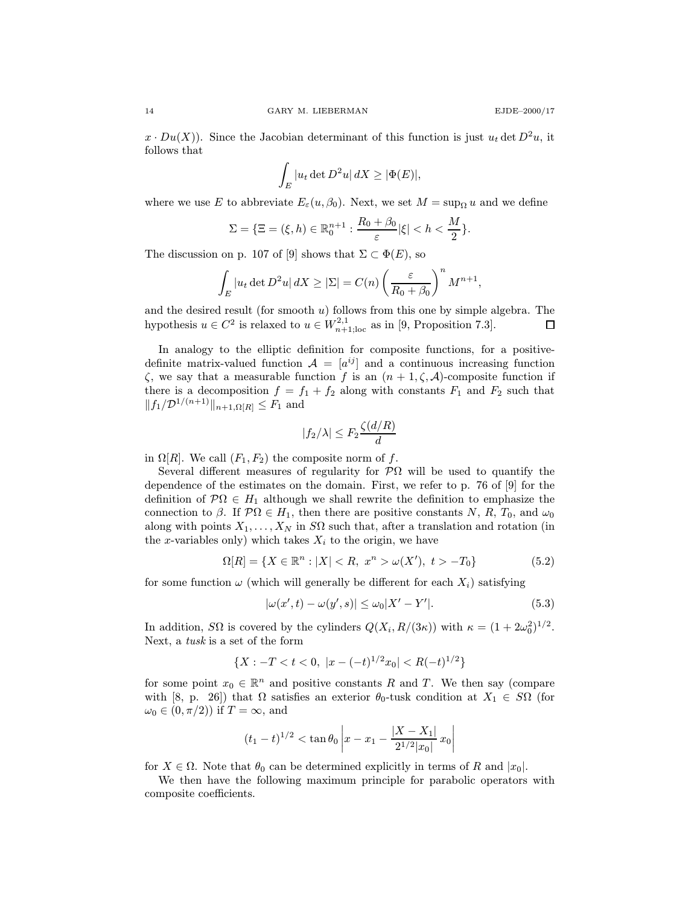$x \cdot Du(X)$ ). Since the Jacobian determinant of this function is just  $u_t$  det  $D^2u$ , it follows that

$$
\int_{E} |u_t \det D^2 u| \, dX \ge |\Phi(E)|,
$$

where we use E to abbreviate  $E_{\varepsilon}(u, \beta_0)$ . Next, we set  $M = \sup_{\Omega} u$  and we define

$$
\Sigma = \{ \Xi = (\xi, h) \in \mathbb{R}_0^{n+1} : \frac{R_0 + \beta_0}{\varepsilon} |\xi| < h < \frac{M}{2} \}.
$$

The discussion on p. 107 of [9] shows that  $\Sigma \subset \Phi(E)$ , so

$$
\int_{E} |u_t \det D^2 u| dX \ge |\Sigma| = C(n) \left(\frac{\varepsilon}{R_0 + \beta_0}\right)^n M^{n+1},
$$

and the desired result (for smooth  $u$ ) follows from this one by simple algebra. The hypothesis  $u \in C^2$  is relaxed to  $u \in W^{2,1}_{n+1;\text{loc}}$  as in [9, Proposition 7.3]. 口

In analogy to the elliptic definition for composite functions, for a positivedefinite matrix-valued function  $\mathcal{A} = [a^{ij}]$  and a continuous increasing function  $\zeta$ , we say that a measurable function f is an  $(n+1,\zeta,\mathcal{A})$ -composite function if there is a decomposition  $f = f_1 + f_2$  along with constants  $F_1$  and  $F_2$  such that  $||f_1/\mathcal{D}^{1/(n+1)}||_{n+1,\Omega[R]} \leq F_1$  and

$$
|f_2/\lambda| \le F_2 \frac{\zeta(d/R)}{d}
$$

in  $\Omega[R]$ . We call  $(F_1, F_2)$  the composite norm of f.

Several different measures of regularity for  $\mathcal{P}\Omega$  will be used to quantify the dependence of the estimates on the domain. First, we refer to p. 76 of [9] for the definition of  $\mathcal{P}\Omega \in H_1$  although we shall rewrite the definition to emphasize the connection to  $\beta$ . If  $\mathcal{P}\Omega \in H_1$ , then there are positive constants N, R, T<sub>0</sub>, and  $\omega_0$ along with points  $X_1, \ldots, X_N$  in SQ such that, after a translation and rotation (in the x-variables only) which takes  $X_i$  to the origin, we have

$$
\Omega[R] = \{ X \in \mathbb{R}^n : |X| < R, \ x^n > \omega(X'), \ t > -T_0 \} \tag{5.2}
$$

for some function  $\omega$  (which will generally be different for each  $X_i$ ) satisfying

$$
|\omega(x',t) - \omega(y',s)| \leq \omega_0 |X' - Y'|.
$$
\n
$$
(5.3)
$$

In addition,  $S\Omega$  is covered by the cylinders  $Q(X_i, R/(3\kappa))$  with  $\kappa = (1 + 2\omega_0^2)^{1/2}$ . Next, a tusk is a set of the form

$$
\{X:-T
$$

for some point  $x_0 \in \mathbb{R}^n$  and positive constants R and T. We then say (compare with [8, p. 26]) that  $\Omega$  satisfies an exterior  $\theta_0$ -tusk condition at  $X_1 \in S\Omega$  (for  $\omega_0 \in (0, \pi/2)$  if  $T = \infty$ , and

$$
(t_1 - t)^{1/2} < \tan \theta_0 \left| x - x_1 - \frac{|X - X_1|}{2^{1/2} |x_0|} x_0 \right|
$$

for  $X \in \Omega$ . Note that  $\theta_0$  can be determined explicitly in terms of R and  $|x_0|$ .

We then have the following maximum principle for parabolic operators with composite coefficients.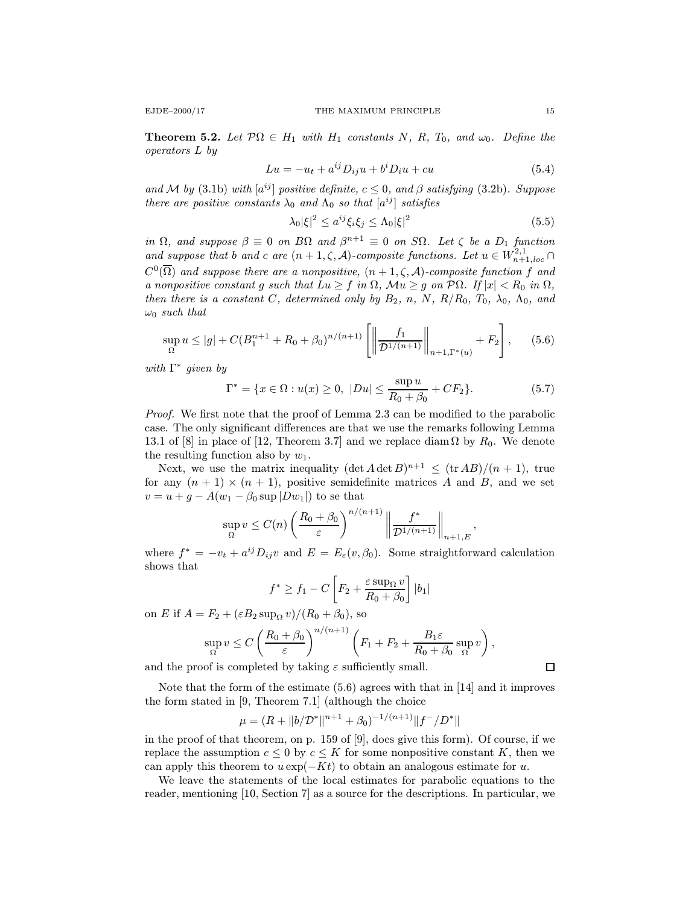**Theorem 5.2.** Let  $\mathcal{P}\Omega \in H_1$  with  $H_1$  constants N, R, T<sub>0</sub>, and  $\omega_0$ . Define the operators L by

$$
Lu = -u_t + a^{ij}D_{ij}u + b^iD_iu + cu \tag{5.4}
$$

and M by (3.1b) with  $[a^{ij}]$  positive definite,  $c \leq 0$ , and  $\beta$  satisfying (3.2b). Suppose there are positive constants  $\lambda_0$  and  $\Lambda_0$  so that  $[a^{ij}]$  satisfies

$$
\lambda_0 |\xi|^2 \le a^{ij} \xi_i \xi_j \le \Lambda_0 |\xi|^2 \tag{5.5}
$$

in  $\Omega$ , and suppose  $\beta \equiv 0$  on  $B\Omega$  and  $\beta^{n+1} \equiv 0$  on  $S\Omega$ . Let  $\zeta$  be a  $D_1$  function and suppose that b and c are  $(n+1,\zeta,\mathcal{A})$ -composite functions. Let  $u \in W^{2,1}_{n+1,loc}$  $C^0(\overline{\Omega})$  and suppose there are a nonpositive,  $(n+1,\zeta,\mathcal{A})$ -composite function f and a nonpositive constant g such that  $Lu \geq f$  in  $\Omega$ ,  $Mu \geq g$  on  $\mathcal{P}\Omega$ . If  $|x| < R_0$  in  $\Omega$ , then there is a constant C, determined only by  $B_2$ , n, N,  $R/R_0$ ,  $T_0$ ,  $\lambda_0$ ,  $\Lambda_0$ , and  $\omega_0$  such that

$$
\sup_{\Omega} u \le |g| + C(B_1^{n+1} + R_0 + \beta_0)^{n/(n+1)} \left[ \left\| \frac{f_1}{\mathcal{D}^{1/(n+1)}} \right\|_{n+1,\Gamma^*(u)} + F_2 \right], \quad (5.6)
$$

with  $\Gamma^*$  given by

$$
\Gamma^* = \{ x \in \Omega : u(x) \ge 0, \ |Du| \le \frac{\sup u}{R_0 + \beta_0} + C F_2 \}.
$$
 (5.7)

Proof. We first note that the proof of Lemma 2.3 can be modified to the parabolic case. The only significant differences are that we use the remarks following Lemma 13.1 of [8] in place of [12, Theorem 3.7] and we replace diam  $\Omega$  by  $R_0$ . We denote the resulting function also by  $w_1$ .

Next, we use the matrix inequality  $(\det A \det B)^{n+1} \leq (\operatorname{tr} AB)/(n+1)$ , true for any  $(n + 1) \times (n + 1)$ , positive semidefinite matrices A and B, and we set  $v = u + g - A(w_1 - \beta_0 \sup |Dw_1|)$  to se that

$$
\sup_{\Omega} v \le C(n) \left(\frac{R_0 + \beta_0}{\varepsilon}\right)^{n/(n+1)} \left\|\frac{f^*}{\mathcal{D}^{1/(n+1)}}\right\|_{n+1,E},
$$

where  $f^* = -v_t + a^{ij} D_{ij} v$  and  $E = E_{\varepsilon}(v, \beta_0)$ . Some straightforward calculation shows that

$$
f^* \ge f_1 - C \left[ F_2 + \frac{\varepsilon \sup_{\Omega} v}{R_0 + \beta_0} \right] |b_1|
$$

on E if  $A = F_2 + (\varepsilon B_2 \sup_{\Omega} v)/(R_0 + \beta_0)$ , so

$$
\sup_{\Omega} v \leq C \left( \frac{R_0 + \beta_0}{\varepsilon} \right)^{n/(n+1)} \left( F_1 + F_2 + \frac{B_1 \varepsilon}{R_0 + \beta_0} \sup_{\Omega} v \right),
$$

and the proof is completed by taking  $\varepsilon$  sufficiently small.

Note that the form of the estimate (5.6) agrees with that in [14] and it improves the form stated in [9, Theorem 7.1] (although the choice

$$
\mu=(R+\|b/\mathcal{D}^*\|^{n+1}+\beta_0)^{-1/(n+1)}\|f^-/D^*\|
$$

in the proof of that theorem, on p. 159 of [9], does give this form). Of course, if we replace the assumption  $c \leq 0$  by  $c \leq K$  for some nonpositive constant K, then we can apply this theorem to  $u \exp(-Kt)$  to obtain an analogous estimate for u.

We leave the statements of the local estimates for parabolic equations to the reader, mentioning [10, Section 7] as a source for the descriptions. In particular, we

 $\Box$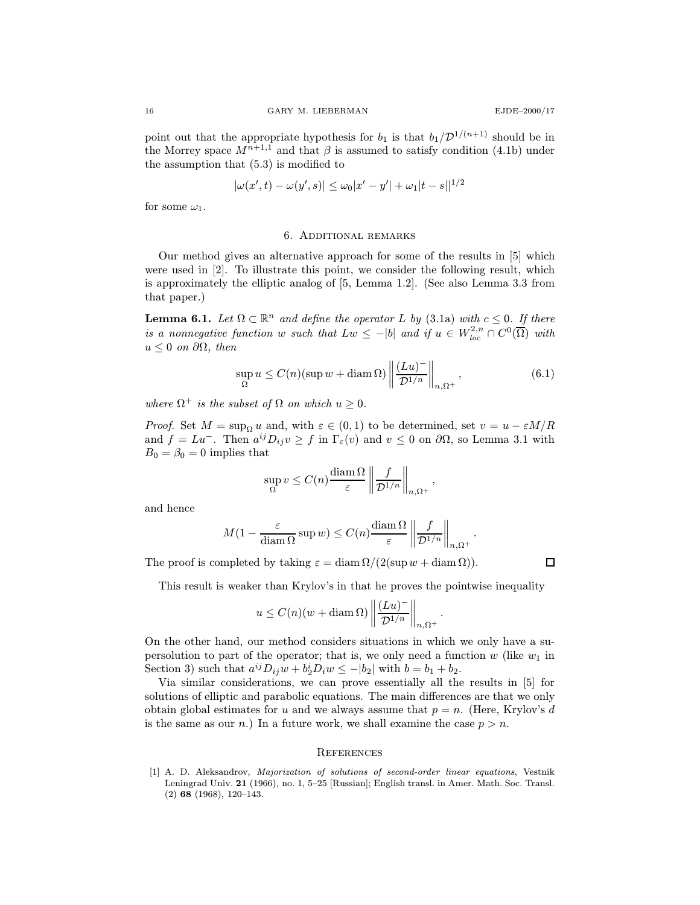point out that the appropriate hypothesis for  $b_1$  is that  $b_1/\mathcal{D}^{1/(n+1)}$  should be in the Morrey space  $M^{n+1,1}$  and that  $\beta$  is assumed to satisfy condition (4.1b) under the assumption that (5.3) is modified to

$$
|\omega(x',t) - \omega(y',s)| \le \omega_0 |x'-y'| + |\omega_1|t - s||^{1/2}
$$

for some  $\omega_1$ .

### 6. Additional remarks

Our method gives an alternative approach for some of the results in [5] which were used in [2]. To illustrate this point, we consider the following result, which is approximately the elliptic analog of [5, Lemma 1.2]. (See also Lemma 3.3 from that paper.)

**Lemma 6.1.** Let  $\Omega \subset \mathbb{R}^n$  and define the operator L by (3.1a) with  $c \leq 0$ . If there is a nonnegative function w such that  $Lw \leq -|b|$  and if  $u \in W_{loc}^{2,n} \cap C^{0}(\overline{\Omega})$  with  $u \leq 0$  on  $\partial\Omega$ , then

$$
\sup_{\Omega} u \le C(n) (\sup w + \operatorname{diam} \Omega) \left\| \frac{(Lu)^{-}}{\mathcal{D}^{1/n}} \right\|_{n, \Omega^{+}}, \tag{6.1}
$$

,

.

.

where  $\Omega^+$  is the subset of  $\Omega$  on which  $u \geq 0$ .

*Proof.* Set  $M = \sup_{\Omega} u$  and, with  $\varepsilon \in (0,1)$  to be determined, set  $v = u - \varepsilon M/R$ and  $f = Lu^-$ . Then  $a^{ij}D_{ij}v \ge f$  in  $\Gamma_{\varepsilon}(v)$  and  $v \le 0$  on  $\partial\Omega$ , so Lemma 3.1 with  $B_0 = \beta_0 = 0$  implies that

$$
\sup_{\Omega} v \le C(n) \frac{\text{diam } \Omega}{\varepsilon} \left\| \frac{f}{\mathcal{D}^{1/n}} \right\|_{n, \Omega^+}
$$

and hence

$$
M(1 - \frac{\varepsilon}{\operatorname{diam}\Omega}\sup w) \le C(n)\frac{\operatorname{diam}\Omega}{\varepsilon}\left\|\frac{f}{\mathcal{D}^{1/n}}\right\|_{n,\Omega^+}
$$

The proof is completed by taking  $\varepsilon = \text{diam }\Omega/(2(\sup w + \text{diam }\Omega)).$ 

 $\Box$ 

This result is weaker than Krylov's in that he proves the pointwise inequality

$$
u \le C(n)(w + \operatorname{diam}\Omega) \left\| \frac{(Lu)^{-}}{\mathcal{D}^{1/n}} \right\|_{n, \Omega^+}
$$

On the other hand, our method considers situations in which we only have a supersolution to part of the operator; that is, we only need a function  $w$  (like  $w_1$  in Section 3) such that  $a^{ij}D_{ij}\dot{w} + b_2^iD_i\dot{w} \le -|b_2|$  with  $b = b_1 + b_2$ .

Via similar considerations, we can prove essentially all the results in [5] for solutions of elliptic and parabolic equations. The main differences are that we only obtain global estimates for u and we always assume that  $p = n$ . (Here, Krylov's d is the same as our n.) In a future work, we shall examine the case  $p > n$ .

#### **REFERENCES**

[1] A. D. Aleksandrov, Majorization of solutions of second-order linear equations, Vestnik Leningrad Univ. 21 (1966), no. 1, 5–25 [Russian]; English transl. in Amer. Math. Soc. Transl. (2) 68 (1968), 120–143.